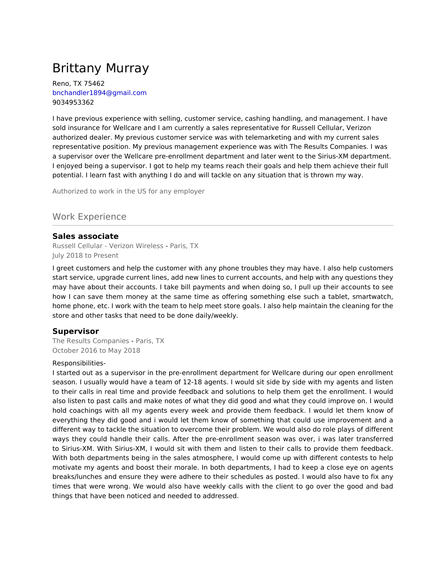# Brittany Murray

Reno, TX 75462 bnchandler1894@gmail.com 9034953362

I have previous experience with selling, customer service, cashing handling, and management. I have sold insurance for Wellcare and I am currently a sales representative for Russell Cellular, Verizon authorized dealer. My previous customer service was with telemarketing and with my current sales representative position. My previous management experience was with The Results Companies. I was a supervisor over the Wellcare pre-enrollment department and later went to the Sirius-XM department. I enjoyed being a supervisor. I got to help my teams reach their goals and help them achieve their full potential. I learn fast with anything I do and will tackle on any situation that is thrown my way.

Authorized to work in the US for any employer

## Work Experience

#### **Sales associate**

Russell Cellular - Verizon Wireless - Paris, TX July 2018 to Present

I greet customers and help the customer with any phone troubles they may have. I also help customers start service, upgrade current lines, add new lines to current accounts, and help with any questions they may have about their accounts. I take bill payments and when doing so, I pull up their accounts to see how I can save them money at the same time as offering something else such a tablet, smartwatch, home phone, etc. I work with the team to help meet store goals. I also help maintain the cleaning for the store and other tasks that need to be done daily/weekly.

#### **Supervisor**

The Results Companies - Paris, TX October 2016 to May 2018

#### Responsibilities-

I started out as a supervisor in the pre-enrollment department for Wellcare during our open enrollment season. I usually would have a team of 12-18 agents. I would sit side by side with my agents and listen to their calls in real time and provide feedback and solutions to help them get the enrollment. I would also listen to past calls and make notes of what they did good and what they could improve on. I would hold coachings with all my agents every week and provide them feedback. I would let them know of everything they did good and i would let them know of something that could use improvement and a different way to tackle the situation to overcome their problem. We would also do role plays of different ways they could handle their calls. After the pre-enrollment season was over, i was later transferred to Sirius-XM. With Sirius-XM, I would sit with them and listen to their calls to provide them feedback. With both departments being in the sales atmosphere, I would come up with different contests to help motivate my agents and boost their morale. In both departments, I had to keep a close eye on agents breaks/lunches and ensure they were adhere to their schedules as posted. I would also have to fix any times that were wrong. We would also have weekly calls with the client to go over the good and bad things that have been noticed and needed to addressed.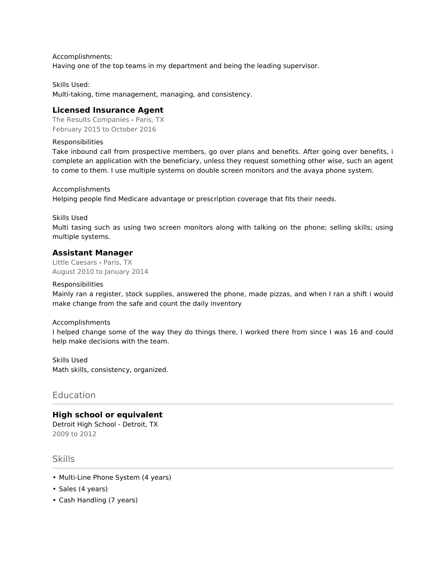Accomplishments: Having one of the top teams in my department and being the leading supervisor.

Skills Used: Multi-taking, time management, managing, and consistency.

#### **Licensed Insurance Agent**

The Results Companies - Paris, TX February 2015 to October 2016

Responsibilities

Take inbound call from prospective members, go over plans and benefits. After going over benefits, i complete an application with the beneficiary, unless they request something other wise, such an agent to come to them. I use multiple systems on double screen monitors and the avaya phone system.

Accomplishments Helping people find Medicare advantage or prescription coverage that fits their needs.

Skills Used

Multi tasing such as using two screen monitors along with talking on the phone; selling skills; using multiple systems.

#### **Assistant Manager**

Little Caesars - Paris, TX August 2010 to January 2014

Responsibilities

Mainly ran a register, stock supplies, answered the phone, made pizzas, and when I ran a shift i would make change from the safe and count the daily inventory

#### Accomplishments

I helped change some of the way they do things there, I worked there from since I was 16 and could help make decisions with the team.

Skills Used Math skills, consistency, organized.

#### **Education**

## **High school or equivalent**

Detroit High School - Detroit, TX 2009 to 2012

**Skills** 

- Multi-Line Phone System (4 years)
- Sales (4 years)
- Cash Handling (7 years)